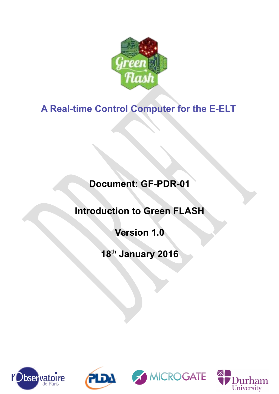

# **A Real-time Control Computer for the E-ELT**

# **Document: GF-PDR-01**

# **Introduction to Green FLASH**

# **Version 1.0**

# **18th January 2016**







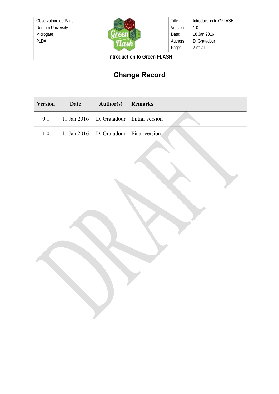

Title: Version: Date: Authors: Page: Introduction to GFLASH 1.0 18 Jan 2016 D. Gratadour 2 of 21

**Introduction to Green FLASH**

## **Change Record**

| <b>Version</b> | Date        | <b>Author(s)</b>                             | <b>Remarks</b> |
|----------------|-------------|----------------------------------------------|----------------|
| 0.1            |             | 11 Jan 2016   D. Gratadour   Initial version |                |
| 1.0            | 11 Jan 2016 | D. Gratadour   Final version                 |                |
|                |             |                                              |                |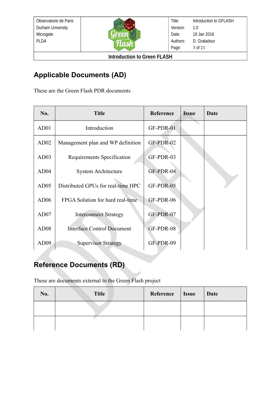

**Introduction to Green FLASH**

## **Applicable Documents (AD)**

These are the Green Flash PDR documents

| No.              | <b>Title</b>                       | Reference | <b>Issue</b> | Date |
|------------------|------------------------------------|-----------|--------------|------|
| AD01             | Introduction                       | GF-PDR-01 |              |      |
| AD <sub>02</sub> | Management plan and WP definition  | GF-PDR-02 |              |      |
| AD03             | Requirements Specification         | GF-PDR-03 |              |      |
| AD04             | <b>System Architecture</b>         | GF-PDR-04 |              |      |
| AD05             | Distributed GPUs for real-time HPC | GF-PDR-05 |              |      |
| AD06             | FPGA Solution for hard real-time   | GF-PDR-06 |              |      |
| AD07             | <b>Interconnect Strategy</b>       | GF-PDR-07 |              |      |
| AD <sub>08</sub> | <b>Interface Control Document</b>  | GF-PDR-08 |              |      |
| AD <sub>09</sub> | <b>Supervisor Strategy</b>         | GF-PDR-09 |              |      |

## **Reference Documents (RD)**

These are documents external to the Green Flash project

| No. | <b>Title</b> | Reference   Issue | Date |
|-----|--------------|-------------------|------|
|     |              |                   |      |
|     |              |                   |      |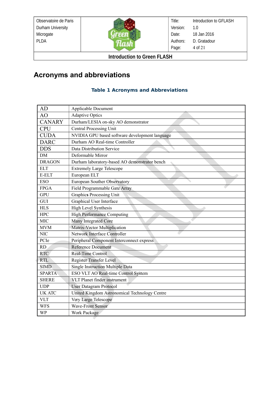

Title: Version: Date: Authors: Page: Introduction to GFLASH 1.0 18 Jan 2016 D. Gratadour 4 of 21

**Introduction to Green FLASH**

## **Acronyms and abbreviations**

#### **Table 1 Acronyms and Abbreviations**

| AD            | Applicable Document                            |
|---------------|------------------------------------------------|
| AO            | <b>Adaptive Optics</b>                         |
| <b>CANARY</b> | Durham/LESIA on-sky AO demonstrator            |
| <b>CPU</b>    | <b>Central Processing Unit</b>                 |
| <b>CUDA</b>   | NVIDIA GPU based software development language |
| <b>DARC</b>   | Durham AO Real-time Controller                 |
| <b>DDS</b>    | Data Distribution Service                      |
| DM            | Deformable Mirror                              |
| <b>DRAGON</b> | Durham laboratory-based AO demonstrator bench  |
| <b>ELT</b>    | <b>Extremely Large Telescope</b>               |
| E-ELT         | European ELT                                   |
| <b>ESO</b>    | European Souther Observatory                   |
| <b>FPGA</b>   | Field Programmable Gate Array                  |
| <b>GPU</b>    | Graphics Processing Unit                       |
| GUI           | Graphical User Interface                       |
| ${\rm HLS}$   | High Level Synthesis                           |
| <b>HPC</b>    | <b>High Performance Computing</b>              |
| <b>MIC</b>    | Many Integrated Core                           |
| <b>MVM</b>    | Matrix-Vector Multiplication                   |
| <b>NIC</b>    | Network Interface Controller                   |
| PCIe          | Peripheral Component Interconnect express      |
| RD            | <b>Reference Document</b>                      |
| <b>RTC</b>    | Real-Time Control                              |
| <b>RTL</b>    | Register Transfer Level                        |
| <b>SIMD</b>   | Single Instruction Multiple Data               |
| <b>SPARTA</b> | ESO VLT AO Real-time Control System            |
| <b>SHERE</b>  | VLT Planet finder instrument                   |
| <b>UDP</b>    | <b>User Datagram Protocol</b>                  |
| <b>UK ATC</b> | United Kingdom Astronomical Technology Centre  |
| <b>VLT</b>    | Very Large Telescope                           |
| <b>WFS</b>    | <b>Wave-Front Sensor</b>                       |
| WP            | <b>Work Package</b>                            |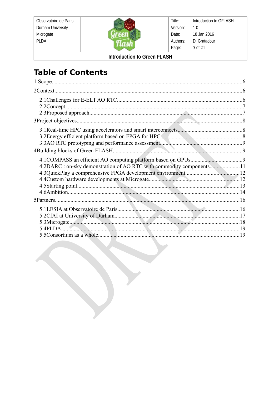

Title: Introduction to GFLASH Version:  $1.0$ Date: 18 Jan 2016 Authors: D. Gratadour Page: 5 of 21

**Introduction to Green FLASH** 

# **Table of Contents**

| 1 Scope                                                              |  |
|----------------------------------------------------------------------|--|
|                                                                      |  |
|                                                                      |  |
|                                                                      |  |
|                                                                      |  |
|                                                                      |  |
| 4.2DARC : on-sky demonstration of AO RTC with commodity components11 |  |
|                                                                      |  |
| 5.4PLDA 19                                                           |  |
|                                                                      |  |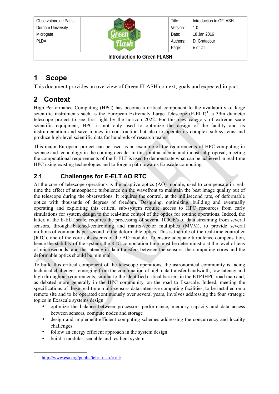

Title: Version: Date: Authors: Page: Introduction to GFLASH 1.0 18 Jan 2016 D. Gratadour 6 of 21

**Introduction to Green FLASH**

## <span id="page-5-2"></span>**1 Scope**

This document provides an overview of Green FLASH context, goals and expected impact.

### <span id="page-5-1"></span>**2 Context**

High Performance Computing (HPC) has become a critical component to the availability of large scientific instruments such as the European Extremely Large Telescope  $(E-ELT)^1$  $(E-ELT)^1$ , a 39m diameter telescope project to see first light by the horizon 2022. For this new category of extreme scale scientific equipment, HPC is not only used to optimize the design of the facility and its instrumentation and save money in construction but also to operate its complex sub-systems and produce high-level scientific data for hundreds of research teams.

This major European project can be used as an example of the requirements of HPC computing in science and technology in the coming decade. In this joint academic and industrial proposal, meeting the computational requirements of the E-ELT is used to demonstrate what can be achieved in real-time HPC using existing technologies and to forge a path towards Exascale computing.

### <span id="page-5-0"></span>**2.1 Challenges for E-ELT AO RTC**

At the core of telescope operations is the adaptive optics (AO) module, used to compensate in realtime the effect of atmospheric turbulence on the wavefront to maintain the best image quality out of the telescope during the observations. It requires the control, at the millisecond rate, of deformable optics with thousands of degrees of freedom. Designing, optimizing, building and eventually operating and exploiting this critical sub-system require access to HPC resources from early simulations for system design to the real-time control of the optics for routine operations. Indeed, the latter, at the E-ELT scale, requires the processing of several 100Gb/s of data streaming from several sensors, through batched-centroiding and matrix-vector multiplies (MVM), to provide several millions of commands per second to the deformable optics. This is the role of the real-time controller (RTC), one of the core subsystems of the AO module. To ensure adequate turbulence compensation, hence the stability of the system, the RTC computation time must be deterministic at the level of tens of microseconds, and the latency in data transfers between the sensors, the computing cores and the deformable optics should be minimal.

To build this critical component of the telescope operations, the astronomical community is facing technical challenges, emerging from the combination of high data transfer bandwidth, low latency and high throughput requirements, similar to the identified critical barriers in the ETP4HPC road map and, as debated more generally in the HPC community, on the road to Exascale. Indeed, meeting the specifications of these real-time multi-sensors data-intensive computing facilities, to be installed on a remote site and to be operated continuously over several years, involves addressing the four strategic topics in Exascale systems design:

- optimize the balance between processors performance, memory capacity and data access between sensors, compute nodes and storage
- design and implement efficient computing schemes addressing the concurrency and locality challenges
- follow an energy efficient approach in the system design
- build a modular, scalable and resilient system

<span id="page-5-3"></span><sup>1</sup> <http://www.eso.org/public/teles-instr/e-elt/>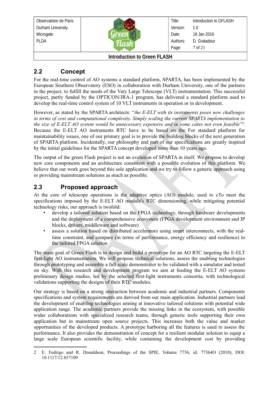| Observatoire de Paris                  |  | Title:   | Introduction to GFLASH |  |
|----------------------------------------|--|----------|------------------------|--|
| Durham University                      |  | Version: | 1.0                    |  |
| Microgate                              |  | Date:    | 18 Jan 2016            |  |
| <b>PLDA</b>                            |  | Authors: | D. Gratadour           |  |
|                                        |  | Page:    | 7 of 21                |  |
| $l$ Atraduation to Croop $\Gamma$ ACLI |  |          |                        |  |

### <span id="page-6-1"></span>**2.2 Concept**

For the real-time control of AO systems a standard platform, SPARTA, has been implemented by the European Southern Observatory (ESO) in collaboration with Durham University, one of the partners in the project, to fulfill the needs of the Very Large Telescope (VLT) instrumentation. This successful project, partly funded by the OPTICON/JRA-1 program, has delivered a standard platform used to develop the real-time control system of 10 VLT instruments in operation or in development.

However, as stated by the SPARTA architects: "*the E-ELT with its instruments poses new challenges in terms of cost and computational complexity. Simply scaling the current SPARTA implementation to the size of E-ELT AO system would be unnecessary expensive and in some cases not even feasible* " [2](#page-6-2) . Because the E-ELT AO instruments RTC have to be based on the For standard platform for maintainability issues, one of our primary goal is to provide the building blocks of the next generation of SPARTA platform. Incidentally, our philosophy and part of our specifications are greatly inspired by the initial guidelines for the SPARTA concept developed more than 10 years ago.

The output of the green Flash project is not an evolution of SPARTA in itself. We propose to develop new core components and an architecture consistent with a possible evolution of this platform. We believe that our work goes beyond this sole application and we try to follow a generic approach using or providing mainstream solutions as much as possible.

#### <span id="page-6-0"></span>**2.3 Proposed approach**

At the core of telescope operations is the adaptive optics (AO) module, used to cTo meet the specifications imposed by the E-ELT AO module's RTC dimensioning, while mitigating potential technology risks, our approach is twofold:

- develop a tailored solution based on the FPGA technology, through hardware developments and the deployment of a comprehensive ecosystem (FPGA development environment and IP blocks, drivers, middleware and software)
- assess a solution based on distributed accelerators using smart interconnects, with the realtime constraint, and compare (in terms of performance, energy efficiency and resilience) to the tailored FPGA solution

The main goal of Green Flash is to design and build a prototype for an AO RTC targeting the E-ELT first-light AO instrumentation. We will propose technical solutions, assess the enabling technologies through prototyping and assemble a full scale demonstrator to be validated with a simulator and tested on sky. With this research and development program we aim at feeding the E-ELT AO systems preliminary design studies, led by the selected first-light instruments consortia, with technological validations supporting the designs of their RTC modules.

Our strategy is based on a strong interaction between academic and industrial partners. Components specifications and system requirements are derived from our main application. Industrial partners lead the development of enabling technologies aiming at innovative tailored solutions with potential wide application range. The academic partners provide the missing links in the ecosystem, with possible wider collaborations with specialized research teams, through generic tools supporting their own application but in mainstream open source projects. This increases both the value and market opportunities of the developed products. A prototype harboring all the features is used to assess the performance. It also provides the demonstration of concept for a resilient modular solution to equip a large scale European scientific facility, while containing the development cost by providing

<span id="page-6-2"></span><sup>2</sup> E. Fedrigo and R. Donaldson, Proceedings of the SPIE, Volume 7736, id. 77364O (2010), DOI: 10.1117/12.857109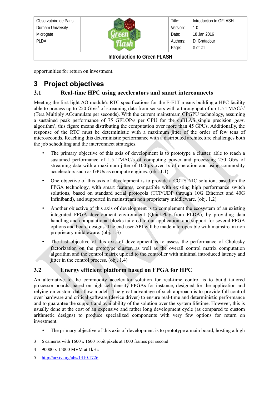| Observatoire de Paris              |  | Title:   | Introduction to GFLASH |
|------------------------------------|--|----------|------------------------|
| Durham University                  |  | Version: | 1.0                    |
| Microgate                          |  | Date:    | 18 Jan 2016            |
| <b>PLDA</b>                        |  | Authors: | D. Gratadour           |
|                                    |  | Page:    | 8 of 21                |
| <b>Introduction to Green FLASH</b> |  |          |                        |

opportunities for return on investment.

## <span id="page-7-2"></span>**3 Project objectives**

#### <span id="page-7-1"></span>**3.1 Real-time HPC using accelerators and smart interconnects**

Meeting the first light AO module's RTC specifications for the E-ELT means building a HPC facility able to process up to 250 Gb/s<sup>[3](#page-7-3)</sup> of streaming data from sensors with a throughput of up 1.5 TMAC/s<sup>[4](#page-7-4)</sup> (Tera Multiply ACcumulate per seconds). With the current mainstream GPGPU technology, assuming a sustained peak performance of 75 GFLOP/s per GPU for the cuBLAS single precision *gemv* algorithm<sup>[5](#page-7-5)</sup>, this figure means distributing the computation over more than 45 GPUs. Additionally, the response of the RTC must be deterministic with a maximum jitter of the order of few tens of microseconds. Reaching this deterministic performance with a distributed architecture challenges both the job scheduling and the interconnect strategies.

- The primary objective of this axis of development is to prototype a cluster, able to reach a sustained performance of 1.5 TMAC/s of computing power and processing 250 Gb/s of streaming data with a maximum jitter of 100 µs over 1s of operation and using commodity accelerators such as GPUs as compute engines. (obj. 1.1)
- One objective of this axis of development is to provide a COTS NIC solution, based on the FPGA technology, with smart features, compatible with existing high performance switch solutions, based on standard serial protocols (TCP/UDP through 10G Ethernet and 40G Infiniband), and supported in mainstream non proprietary middleware. (obj. 1.2)
- Another objective of this axis of development is to complement the ecosystem of an existing integrated FPGA development environment (QuickPlay from PLDA), by providing data handling and computational blocks tailored to our application, and support for several FPGA options and board designs. The end user API will be made interoperable with mainstream non proprietary middleware. (obj. 1.3)
- The last objective of this axis of development is to assess the performance of Cholesky factorization on the prototype cluster, as well as the overall control matrix computation algorithm and the control matrix upload to the controller with minimal introduced latency and jitter in the control process. (obj. 1.4)

#### <span id="page-7-0"></span>**3.2 Energy efficient platform based on FPGA for HPC**

An alternative to the commodity accelerator solution for real-time control is to build tailored processor boards, based on high cell density FPGAs for instance, designed for the application and relying on custom data flow models. The great advantage of such approach is to provide full control over hardware and critical software (device driver) to ensure real-time and deterministic performance and to guarantee the support and availability of the solution over the system lifetime. However, this is usually done at the cost of an expensive and rather long development cycle (as compared to custom arithmetic designs) to produce specialized components with very few options for return on investment.

- The primary objective of this axis of development is to prototype a main board, hosting a high
- <span id="page-7-3"></span>3 6 cameras with 1600 x 1600 16bit pixels at 1000 frames per second

<span id="page-7-5"></span>5 <http://arxiv.org/abs/1410.1726>

<span id="page-7-4"></span><sup>4</sup> 90000 x 15000 MVM at 1kHz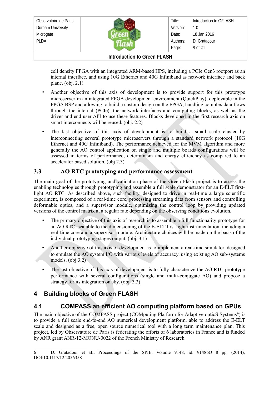

Title: Version: Date: Authors: Page: Introduction to GFLASH 1.0 18 Jan 2016 D. Gratadour 9 of 21

#### **Introduction to Green FLASH**

cell density FPGA with an integrated ARM-based HPS, including a PCIe Gen3 rootport as an internal interface, and using 10G Ethernet and 40G Infiniband as network interface and back plane. (obj. 2.1)

- Another objective of this axis of development is to provide support for this prototype microserver in an integrated FPGA development environment (QuickPlay), deployable in the FPGA BSP and allowing to build a custom design on the FPGA, handling complex data flows through the internal (PCIe), the network interfaces and computing blocks, as well as the driver and end user API to use these features. Blocks developed in the first research axis on smart interconnects will be reused. (obj. 2.2)
- The last objective of this axis of development is to build a small scale cluster by interconnecting several prototype microservers through a standard network protocol (10G Ethernet and 40G Infiniband). The performance achieved for the MVM algorithm and more generally the AO control application on single and multiple boards configurations will be assessed in terms of performance, determinism and energy efficiency as compared to an accelerator based solution. (obj 2.3)

#### <span id="page-8-2"></span>**3.3 AO RTC prototyping and performance assessment**

The main goal of the prototyping and validation phase of the Green Flash project is to assess the enabling technologies through prototyping and assemble a full scale demonstrator for an E-ELT firstlight AO RTC. As described above, such facility, designed to drive in real-time a large scientific experiment, is composed of a real-time core, processing streaming data from sensors and controlling deformable optics, and a supervisor module, optimizing the control loop by providing updated versions of the control matrix at a regular rate depending on the observing conditions evolution.

- The primary objective of this axis of research is to assemble a full functionality prototype for an AO RTC, scalable to the dimensioning of the E-ELT first light instrumentation, including a real-time core and a supervisor module. Architecture choices will be made on the basis of the individual prototyping stages output. (obj. 3.1)
- Another objective of this axis of development is to implement a real-time simulator, designed to emulate the AO system I/O with various levels of accuracy, using existing AO sub-systems models. (obj 3.2)
- The last objective of this axis of development is to fully characterize the AO RTC prototype performance with several configurations (single and multi-conjugate AO) and propose a strategy for its integration on sky. (obj. 3.3)

### <span id="page-8-1"></span>**4 Building blocks of Green FLASH**

### <span id="page-8-0"></span>**4.1 COMPASS an efficient AO computing platform based on GPUs**

The main objective of the COMPASS project (COMputing Platform for Adaptive opticS Systems<sup>[6](#page-8-3)</sup>) is to provide a full scale end-to-end AO numerical development platform, able to address the E-ELT scale and designed as a free, open source numerical tool with a long term maintenance plan. This project, led by Observatoire de Paris is federating the efforts of 6 laboratories in France and is funded by ANR grant ANR-12-MONU-0022 of the French Ministry of Research.

<span id="page-8-3"></span><sup>6</sup> D. Gratadour et aL, Proceedings of the SPIE, Volume 9148, id. 91486O 8 pp. (2014), DOI:10.1117/12.2056358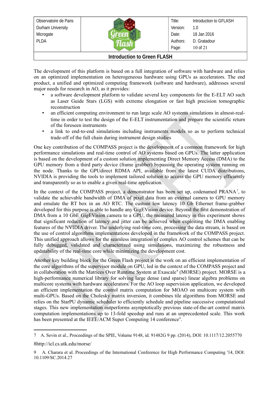Observatoire de Paris Durham University Microgate PLDA Title: Version: Date: Authors: Page: Introduction to GFLASH 1.0 18 Jan 2016 D. Gratadour 10 of 21 **Introduction to Green FLASH**

The development of this platform is based on a full integration of software with hardware and relies on an optimized implementation on heterogeneous hardware using GPUs as accelerators. The end product, a unified and optimized computing framework (software and hardware), addresses several major needs for research in AO, as it provides:

- a software development platform to validate several key components for the E-ELT AO such as Laser Guide Stars (LGS) with extreme elongation or fast high precision tomographic reconstruction
- an efficient computing environment to run large scale AO systems simulations in almost-realtime in order to test the design of the E-ELT instrumentation and prepare the scientific return of the foreseen instruments
- a link to end-to-end simulations including instruments models so as to perform technical trade-off of the full chain during instrument design studies

One key contribution of the COMPASS project is the development of a common framework for high performance simulations and real-time control of AO systems based on GPUs. The latter application is based on the development of a custom solution implementing Direct Memory Access (DMA) to the GPU memory from a third party device (frame grabber) bypassing the operating system running on the node. Thanks to the GPUdirect RDMA API, available from the latest CUDA distributions, NVIDIA is providing the tools to implement tailored solution to access the GPU memory efficiently and transparently so as to enable a given real-time application.

In the context of the COMPASS project, a demonstrator has been set up, codenamed  $PRANA^7$  $PRANA^7$ , to validate the achievable bandwidth of DMA of pixel data from an external camera to GPU memory and emulate the RT box in an AO RTC. The custom low latency 10 Gb Ethernet frame-grabber developed for this purpose is able to handle any GigEVision device. Beyond the first demonstration of DMA from a 10 GbE GigEVision camera to a GPU, the measured latency in this experiment shows that significant reduction of latency and jitter can be achieved when exploiting the DMA enabling features of the NVIDIA driver. The underlying real-time core, processing the data stream, is based on the use of control algorithms implementations developed in the framework of the COMPASS project. This unified approach allows for the seamless integration of complex AO control schemes that can be fully debugged, validated and characterized using simulations, maximizing the robustness and updatability of the real-time core while minimizing the development cost.

Another key building block for the Green Flash project is the work on an efficient implementation of the core algorithms of the supervisor module on GPU, led in the context of the COMPASS project and in collaboration with the Matrices Over Runtime System at Exascale<sup>[8](#page-9-1)</sup> (MORSE) project. MORSE is a high-performance numerical library for solving large dense (and sparse) linear algebra problems on multicore systems with hardware accelerators. For the AO loop supervision application, we developed an efficient implementation the control matrix computation for MOAO on multicore system with multi-GPUs. Based on the Cholesky matrix inversion, it combines tile algorithms from MORSE and relies on the StarPU dynamic scheduler to efficiently schedule and pipeline successive computational stages. This new implementation outperforms asymptotically previous state-of-the-art control matrix computation implementations up to 13-fold speedup and runs at an unprecedented scale. This work has been presented at the IEEE/ACM Super Computing 14 conference<sup>[9](#page-9-2)</sup>.

<span id="page-9-0"></span><sup>7</sup> A. Sevin et al., Proceedings of the SPIE, Volume 9148, id. 91482G 9 pp. (2014), DOI: 10.1117/12.2055770

<span id="page-9-1"></span><sup>8</sup>http://icl.cs.utk.edu/morse/

<span id="page-9-2"></span><sup>9</sup> A. Charara et al. Proceedings of the International Conference for High Performance Computing '14, DOI: 10.1109/SC.2014.27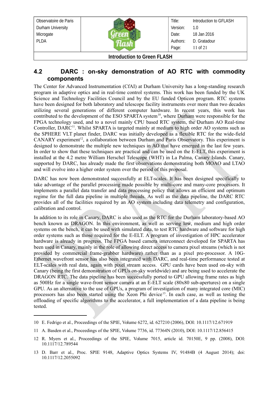| Observatoire de Paris              |  | Title:   | Introduction to GFLASH |
|------------------------------------|--|----------|------------------------|
| Durham University                  |  | Version: | 1.0                    |
| Microgate                          |  | Date:    | 18 Jan 2016            |
| <b>PLDA</b>                        |  | Authors: | D. Gratadour           |
|                                    |  | Page:    | 11 of $21$             |
| <b>Introduction to Green FLASH</b> |  |          |                        |

#### <span id="page-10-0"></span>**4.2 DARC : on-sky demonstration of AO RTC with commodity components**

The Center for Advanced Instrumentation (CfAI) at Durham University has a long-standing research program in adaptive optics and in real-time control systems. This work has been funded by the UK Science and Technology Facilities Council and by the EU funded Opticon program. RTC systems have been designed for both laboratory and telescope facility instruments over more than two decades utilizing several generations of different computer hardware. In recent years, this work has contributed to the development of the ESO SPARTA system<sup>[10](#page-10-1)</sup>, where Durham were responsible for the FPGA technology used, and to a novel mainly CPU based RTC system, the Durham AO Real-time Controller, DARC<sup>[11](#page-10-2)</sup>. Whilst SPARTA is targeted mainly at medium to high order AO systems such as the SPHERE VLT planet finder, DARC was initially developed as a flexible RTC for the wide-field  $CANARY experiment<sup>12</sup>$  $CANARY experiment<sup>12</sup>$  $CANARY experiment<sup>12</sup>$ , a collaboration between Durham and Paris Observatory. This experiment is designed to demonstrate the multiple new techniques in AO that have emerged in the last few years. In order to show that these techniques are practical and can be used on the E-ELT, this experiment is installed at the 4.2 metre William Herschel Telescope (WHT) in La Palma, Canary Islands. Canary, supported by DARC, has already made the first observations demonstrating both MOAO and LTAO and will evolve into a higher order system over the period of this proposal.

DARC has now been demonstrated successfully at ELT-scales. It has been designed specifically to take advantage of the parallel processing made possible by multi-core and many-core processors. It implements a parallel data transfer and data processing policy that allows an efficient and optimum regime for the full data pipeline in multiple threads. As well as the data pipeline, the DARC RTC provides all of the facilities required by an AO system including data telemetry and configuration, calibration and control.

In addition to its role in Canary, DARC is also used as the RTC for the Durham laboratory-based AO bench known as DRAGON. In this environment, as well as serving low, medium and high order systems on the bench, it can be used with simulated data, to test RTC hardware and software for high order systems such as those required for the E-ELT. A program of investigation of HPC accelerator hardware is already in progress. The FPGA based camera interconnect developed for SPARTA has been used in Canary, mainly in the role of allowing direct access to camera pixel streams (which is not provided by commercial frame-grabber hardware) rather than as a pixel pre-processor. A 10G-Ethernet wavefront sensor has also been integrated with DARC, and real-time performance tested at ELT-scales with real data, again with pixel stream access. GPU cards have been used on-sky with Canary (being the first demonstration of GPUs on-sky worldwide) and are being used to accelerate the DRAGON RTC. The data pipeline has been successfully ported to GPU allowing frame rates as high as 500Hz for a single wave-front sensor camera at an E-ELT scale (80x80 sub-apertures) on a single GPU. As an alternative to the use of GPUs, a program of investigation of many integrated core (MIC) processors has also been started using the Xeon Phi device<sup>[13](#page-10-4)</sup>. In each case, as well as testing the offloading of specific algorithms to the accelerator, a full implementation of a data pipeline is being tested.

<span id="page-10-1"></span><sup>10</sup> E. Fedrigo et al., Proceedings of the SPIE, Volume 6272, id. 627210 (2006), DOI: 10.1117/12.671919

<span id="page-10-2"></span><sup>11</sup> A. Basden et al., Proceedings of the SPIE, Volume 7736, id. 77364N (2010), DOI: 10.1117/12.856415

<span id="page-10-3"></span><sup>12</sup> R. Myers et al., Proceedings of the SPIE, Volume 7015, article id. 70150E, 9 pp. (2008), DOI: 10.1117/12.789544

<span id="page-10-4"></span><sup>13</sup> D. Barr et al., Proc. SPIE 9148, Adaptive Optics Systems IV, 91484B (4 August 2014); doi: 10.1117/12.2055092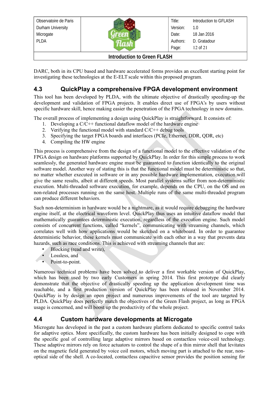| Observatoire de Paris              |  | Title:   | Introduction to GFLASH |
|------------------------------------|--|----------|------------------------|
| Durham University                  |  | Version: | 1.0                    |
| Microgate                          |  | Date:    | 18 Jan 2016            |
| <b>PLDA</b>                        |  | Authors: | D. Gratadour           |
|                                    |  | Page:    | 12 of 21               |
| <b>Introduction to Green FLASH</b> |  |          |                        |

DARC, both in its CPU based and hardware accelerated forms provides an excellent starting point for investigating these technologies at the E-ELT scale within this proposed program.

### <span id="page-11-1"></span>**4.3 QuickPlay a comprehensive FPGA development environment**

This tool has been developed by PLDA, with the ultimate objective of drastically speeding-up the development and validation of FPGA projects. It enables direct use of FPGA's by users without specific hardware skill, hence making easier the penetration of the FPGA technology in new domains.

The overall process of implementing a design using QuickPlay is straightforward. It consists of:

- 1. Developing a  $C/C++$  functional dataflow model of the hardware engine
- 2. Verifying the functional model with standard  $C/C++$  debug tools
- 3. Specifying the target FPGA boards and interfaces (PCIe, Ethernet, DDR, QDR, etc)
- 4. Compiling the HW engine

This process is comprehensive from the design of a functional model to the effective validation of the FPGA design on hardware platforms supported by QuickPlay. In order for this simple process to work seamlessly, the generated hardware engine must be guaranteed to function identically to the original software model. Another way of stating this is that the functional model must be deterministic so that, no matter whether executed in software or in any possible hardware implementation, execution will give the same results, albeit at different speeds. Most parallel systems suffer from non-deterministic execution. Multi-threaded software execution, for example, depends on the CPU, on the OS and on non-related processes running on the same host. Multiple runs of the same multi-threaded program can produce different behaviors.

Such non-determinism in hardware would be a nightmare, as it would require debugging the hardware engine itself, at the electrical waveform level. QuickPlay thus uses an intuitive dataflow model that mathematically guarantees deterministic execution, regardless of the execution engine. Such model consists of concurrent functions, called "kernels", communicating with streaming channels, which correlates well with how applications would be sketched on a whiteboard. In order to guarantee deterministic behavior, these kernels must communicate with each other in a way that prevents data hazards, such as race conditions. This is achieved with streaming channels that are:

- Blocking (read and write),
- Lossless, and
- Point-to-point.

Numerous technical problems have been solved to deliver a first workable version of QuickPlay, which has been used by two early Customers in spring 2014. This first prototype did clearly demonstrate that the objective of drastically speeding up the application development time was reachable, and a first production version of QuickPlay has been released in November 2014. QuickPlay is by design an open project and numerous improvements of the tool are targeted by PLDA. QuickPlay does perfectly match the objectives of the Green Flash project, as long as FPGA usage is concerned, and will boost up the productivity of the whole project.

#### <span id="page-11-0"></span>**4.4 Custom hardware developments at Microgate**

Microgate has developed in the past a custom hardware platform dedicated to specific control tasks for adaptive optics. More specifically, the custom hardware has been initially designed to cope with the specific goal of controlling large adaptive mirrors based on contactless voice-coil technology. These adaptive mirrors rely on force actuators to control the shape of a thin mirror shell that levitates on the magnetic field generated by voice coil motors, which moving part is attached to the rear, nonoptical side of the shell. A co-located, contactless capacitive sensor provides the position sensing for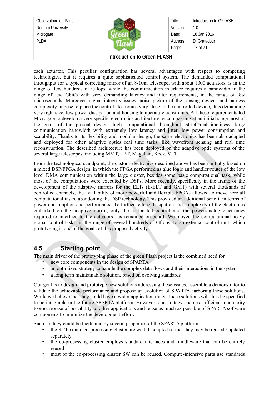| Observatoire de Paris |  | Title:   | Introduction to GFLASH |  |
|-----------------------|--|----------|------------------------|--|
| Durham University     |  | Version: | 1.0                    |  |
| Microgate             |  | Date:    | 18 Jan 2016            |  |
| <b>PLDA</b>           |  | Authors: | D. Gratadour           |  |
|                       |  | Page:    | 13 of 21               |  |
| l                     |  |          |                        |  |

each actuator. This peculiar configuration has several advantages with respect to competing technologies, but it requires a quite sophisticated control system. The demanded computational throughput for a typical correcting mirror of an 8-10m telescope, with about 1000 actuators, is in the range of few hundreds of Gflops, while the communication interface requires a bandwidth in the range of few Gbit/s with very demanding latency and jitter requirements, in the range of few microseconds. Moreover, signal integrity issues, noise pickup of the sensing devices and harness complexity impose to place the control electronics very close to the controlled device, thus demanding very tight size, low power dissipation and housing temperature constraints. All these requirements led Microgate to develop a very specific electronics architecture, encompassing at an initial stage most of the goals of the present design: high computational throughput, strict real-timeliness, large communication bandwidth with extremely low latency and jitter, low power consumption and scalability. Thanks to its flexibility and modular design, the same electronics has been also adapted and deployed for other adaptive optics real time tasks, like wavefront sensing and real time reconstruction. The described architecture has been deployed on the adaptive optic systems of the several large telescopes, including MMT, LBT, Magellan, Keck, VLT.

From the technological standpoint, the custom electronics described above has been initially based on a mixed DSP/FPGA design, in which the FPGA performed as glue logic and handler/router of the low level DMA communication within the large cluster, besides some basic computational task, while most of the computations were executed by DSPs. More recently, specifically in the frame of the development of the adaptive mirrors for the ELTs (E-ELT and GMT) with several thousands of controlled channels, the availability of more powerful and flexible FPGAs allowed to move here all computational tasks, abandoning the DSP technology. This provided an additional benefit in terms of power consumption and performance. To further reduce dissipation and complexity of the electronics embarked on the adaptive mirror, only the co-located control and the power/analog electronics required to interface to the actuators has remained on-board. We moved the computational-heavy global control tasks, in the range of several hundreds of Gflops, to an external control unit, which prototyping is one of the goals of this proposed activity.

#### **4.5 Starting point**

The main driver of the prototyping phase of the green Flash project is the combined need for

- <span id="page-12-0"></span>new core components in the design of SPARTA
- an optimized strategy to handle the complex data flows and their interactions in the system
- a long term maintainable solution, based on evolving standards

Our goal is to design and prototype new solutions addressing these issues, assemble a demonstrator to validate the achievable performance and propose an evolution of SPARTA harboring these solutions. While we believe that they could have a wider application range, these solutions will thus be specified to be integrable in the future SPARTA platform. However, our strategy enables sufficient modularity to ensure ease of portability to other applications and reuse as much as possible of SPARTA software components to minimize the development effort.

Such strategy could be facilitated by several properties of the SPARTA platform:

- the RT box and co-processing cluster are well decoupled so that they may be reused / updated separately
- the co-processing cluster employs standard interfaces and middleware that can be entirely reused
- most of the co-processing cluster SW can be reused. Compute-intensive parts use standards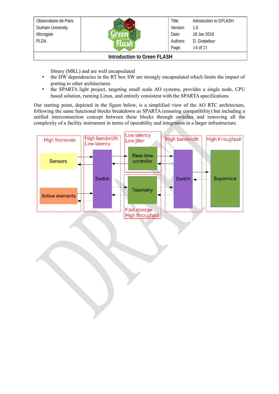| Observatoire de Paris |  | Title:   | Introduction to GFLASH |
|-----------------------|--|----------|------------------------|
|                       |  |          |                        |
| Durham University     |  | Version: | 1.0                    |
| Microgate             |  | Date:    | 18 Jan 2016            |
| <b>PLDA</b>           |  | Authors: | D. Gratadour           |
|                       |  | Page:    | 14 of 21               |
|                       |  |          |                        |

library (MKL) and are well encapsulated

- the HW dependencies in the RT box SW are strongly encapsulated which limits the impact of porting to other architectures
- the SPARTA light project, targeting small scale AO systems, provides a single node, CPU based solution, running Linux, and entirely consistent with the SPARTA specifications

Our starting point, depicted in the figure below, is a simplified view of the AO RTC architecture, following the same functional blocks breakdown as SPARTA (ensuring compatibility) but including a unified interconnection concept between these blocks through switches and removing all the complexity of a facility instrument in terms of operability and integration in a larger infrastructure.

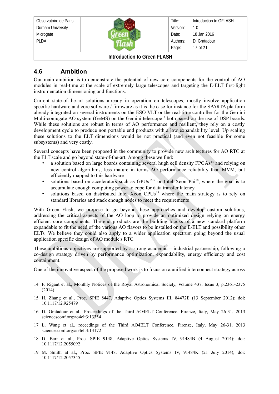| Observatoire de Paris              |  | Title:   | Introduction to GFLASH |
|------------------------------------|--|----------|------------------------|
| Durham University                  |  | Version: | 1.0                    |
| Microgate                          |  | Date:    | 18 Jan 2016            |
| <b>PLDA</b>                        |  | Authors: | D. Gratadour           |
|                                    |  | Page:    | 15 of 21               |
| <b>Introduction to Green FLASH</b> |  |          |                        |

#### <span id="page-14-0"></span>**4.6 Ambition**

Our main ambition is to demonstrate the potential of new core components for the control of AO modules in real-time at the scale of extremely large telescopes and targeting the E-ELT first-light instrumentation dimensioning and functions.

Current state-of-the-art solutions already in operation on telescopes, mostly involve application specific hardware and core software / firmware as it is the case for instance for the SPARTA platform already integrated on several instruments on the ESO VLT or the real-time controller for the Gemini Multi-conjugate AO system (GeMS) on the Gemini telescope<sup>[14](#page-14-1)</sup> both based on the use of DSP boards. While these solutions are robust in terms of AO performance and resilient, they rely on a costly development cycle to produce non portable end products with a low expandability level. Up scaling these solutions to the ELT dimensions would be not practical (and even not feasible for some subsystems) and very costly.

Several concepts have been proposed in the community to provide new architectures for AO RTC at the ELT scale and go beyond state-of-the-art. Among these we find:

- a solution based on large boards containing several hugh cell density FPGAs<sup>[15](#page-14-2)</sup> and relying on new control algorithms, less mature in terms AO performance reliability than MVM, but efficiently mapped to this hardware
- solutions based on accelerators such as  $GPUs<sup>1617</sup>$  $GPUs<sup>1617</sup>$  $GPUs<sup>1617</sup>$  $GPUs<sup>1617</sup>$  or Intel Xeon Phi<sup>[18](#page-14-5)</sup>, where the goal is to accumulate enough computing power to cope for data transfer latency
- solutions based on distributed Intel Xeon CPUs<sup>[19](#page-14-6)</sup> where the main strategy is to rely on standard libraries and stack enough nodes to meet the requirements

With Green Flash, we propose to go beyond these approaches and develop custom solutions, addressing the critical aspects of the AO loop to provide an optimized design relying on energy efficient core components. The end products are the building blocks of a new standard platform expandable to fit the need of the various AO flavors to be installed on the E-ELT and possibility other ELTs. We believe they could also apply to a wider application spectrum going beyond the usual application specific design of AO module's RTC.

These ambitious objectives are supported by a strong academic – industrial partnership, following a co-design strategy driven by performance optimization, expandability, energy efficiency and cost containment.

One of the innovative aspect of the proposed work is to focus on a unified interconnect strategy across

- <span id="page-14-2"></span>15 H. Zhang et al., Proc. SPIE 8447, Adaptive Optics Systems III, 84472E (13 September 2012); doi: 10.1117/12.925479
- <span id="page-14-3"></span>16 D. Gratadour et al., Proceedings of the Third AO4ELT Conference. Firenze, Italy, May 26-31, 2013 sciencesconf.org:ao4elt3:13354
- <span id="page-14-4"></span>17 L. Wang et al., roceedings of the Third AO4ELT Conference. Firenze, Italy, May 26-31, 2013 sciencesconf.org:ao4elt3:13172
- <span id="page-14-5"></span>18 D. Barr et al., Proc. SPIE 9148, Adaptive Optics Systems IV, 91484B (4 August 2014); doi: 10.1117/12.2055092
- <span id="page-14-6"></span>19 M. Smith at al., Proc. SPIE 9148, Adaptive Optics Systems IV, 91484K (21 July 2014); doi: 10.1117/12.2057345

<span id="page-14-1"></span><sup>14</sup> F. Rigaut et al., Monthly Notices of the Royal Astronomical Society, Volume 437, Issue 3, p.2361-2375 (2014)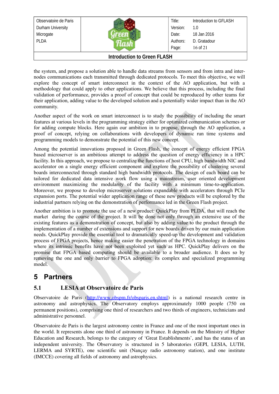| Observatoire de Paris        |  | Title:   | Introduction to GFLASH |
|------------------------------|--|----------|------------------------|
| Durham University            |  | Version: | 1.0                    |
| Microgate                    |  | Date:    | 18 Jan 2016            |
| <b>PLDA</b>                  |  | Authors: | D. Gratadour           |
|                              |  | Page:    | $16$ of $21$           |
| Introduction to Croon El ACU |  |          |                        |

the system, and propose a solution able to handle data streams from sensors and from intra and internodes communications each transmitted through dedicated protocols. To meet this objective, we will explore the concept of smart interconnect in the context of the AO application, but with a methodology that could apply to other applications. We believe that this process, including the final validation of performance, provides a proof of concept that could be reproduced by other teams for their application, adding value to the developed solution and a potentially wider impact than in the AO community.

Another aspect of the work on smart interconnect is to study the possibility of including the smart features at various levels in the programming strategy either for optimized communication schemes or for adding compute blocks. Here again our ambition in to propose, through the AO application, a proof of concept, relying on collaborations with developers of dynamic run time systems and programming models to demonstrate the potential of this new concept.

Among the potential innovations proposed in Green Flash, the concept of energy efficient FPGA based microserver is an ambitious attempt to address the question of energy efficiency in a HPC facility. In this approach, we propose to centralize the functions of host CPU, high bandwidth NIC and accelerator on a single energy efficient component and explore the possibility of clustering several boards interconnected through standard high bandwidth protocols. The design of each board can be tailored for dedicated data intensive work flow using a mainstream, user oriented development environment maximizing the modularity of the facility with a minimum time-to-application. Moreover, we propose to develop microserver solutions expandable with accelerators through PCIe expansion ports. The potential wider application range of these new products will be explored by the industrial partners relying on the demonstration of performance led in the Green Flash project.

Another ambition is to promote the use of a new product: QuickPlay from PLDA, that will reach the market during the course of the project. It will be done not only through an extensive use of the existing features as a demonstration of concept, but also by adding value to the product through the implementation of a number of extensions and support for new boards driven by our main application needs. QuickPlay provide the essential tool to dramatically speed-up the development and validation process of FPGA projects, hence making easier the penetration of the FPGA technology in domains where its intrinsic benefits have not been exploited yet such as HPC. QuickPlay delivers on the promise that FPGA based computing should be available to a broader audience. It does so by removing the one and only barrier to FPGA adoption: its complex and specialized programming model.

### <span id="page-15-1"></span>**5 Partners**

#### <span id="page-15-0"></span>**5.1 LESIA at Observatoire de Paris**

Observatoire de Paris [\(http://www.obspm.fr/obsparis.en.shtml\)](http://www.obspm.fr/obsparis.en.shtml) is a national research centre in astronomy and astrophysics. The Observatory employs approximately 1000 people (750 on permanent positions), comprising one third of researchers and two thirds of engineers, technicians and administrative personnel.

Observatoire de Paris is the largest astronomy centre in France and one of the most important ones in the world. It represents alone one third of astronomy in France. It depends on the Ministry of Higher Education and Research, belongs to the category of 'Great Establishments', and has the status of an independent university. The Observatory is structured in 5 laboratories (GEPI, LESIA, LUTH, LERMA and SYRTE), one scientific unit (Nancay radio astronomy station), and one institute (IMCCE) covering all fields of astronomy and astrophysics.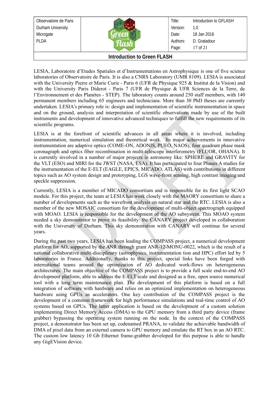| Observatoire de Paris<br>Durham University<br>Microgate<br><b>PLDA</b> |  | Title:<br>Version:<br>Date:<br>Authors:<br>Page: | Introduction to GFLASH<br>1.0<br>18 Jan 2016<br>D. Gratadour<br>17 of 21 |
|------------------------------------------------------------------------|--|--------------------------------------------------|--------------------------------------------------------------------------|
| <b>Introduction to Green FLASH</b>                                     |  |                                                  |                                                                          |

LESIA, Laboratoire d'Etudes Spatiales et d'Instrumentations en Astrophysique is one of five science laboratories of Observatoire de Paris. It is also a CNRS Laboratory (UMR 8109). LESIA is associated with the University Pierre et Marie Curie - Paris 6 (UFR de Physique 925 & Institut de la Vision) and with the University Paris Diderot - Paris 7 (UFR de Physique & UFR Sciences de la Terre, de l'Environnement et des Planètes - STEP). The laboratory counts around 250 staff members, with 140 permanent members including 65 engineers and technicians. More than 30 PhD theses are currently undertaken. LESIA's primary role is: design and implementation of scientific instrumentation in space and on the ground, analysis and interpretation of scientific observations made by use of the built instruments and development of innovative advanced techniques to fulfill the new requirements of its scientific programs.

LESIA is at the forefront of scientific advances in all areas where it is involved, including instrumentation, numerical simulation and theoretical work. Its major achievements in innovative instrumentation are adaptive optics (COME-ON, ADONIS, PUEO, NAOS), four quadrant phase mask coronagraph and optics fiber recombination in multi-telescope interferometry (FLUOR, OHANA). It is currently involved in a number of major projects in astronomy like: SPHERE and GRAVITY for the VLT (ESO) and MIRI for the JWST (NASA, ESA). It has participated to four Phases A studies for the instrumentation of the E-ELT (EAGLE, EPICS, MICADO, ATLAS) with contributions in different topics such as AO system design and prototyping, LGS wave-front sensing, high contrast imaging and speckle suppression.

Currently, LESIA is a member of MICADO consortium and is responsible for its first light SCAO module. For this project, the team at LESIA has work closely with the MAORY consortium to share a number of developments such as the wavefront analysis on natural star and the RTC. LESIA is also a member of the new MOSAIC consortium for the development of multi-object spectrograph equipped with MOAO. LESIA is responsible for the development of the AO subsystem. This MOAO system needed a sky demonstrator to prove its feasibility: the CANARY project developed in collaboration with the University of Durham. This sky demonstration with CANARY will continue for several years.

During the past two years, LESIA has been leading the COMPASS project, a numerical development platform for AO, supported by the ANR through grant ANR-12-MONU-0022, which is the result of a national collaborative multi-disciplinary (astrophysics, instrumentation tion and HPC) effort led by 5 laboratories in France. Additionally, thanks to this project, special links have been forged with international teams around the optimization of AO dedicated work-flows on heterogeneous architectures. The main objective of the COMPASS project is to provide a full scale end-to-end AO development platform, able to address the E-ELT scale and designed as a free, open source numerical tool with a long term maintenance plan. The development of this platform is based on a full integration of software with hardware and relies on an optimized implementation on heterogeneous hardware using GPUs as accelerators. One key contribution of the COMPASS project is the development of a common framework for high performance simulations and real-time control of AO systems based on GPUs. The latter application is based on the development of a custom solution implementing Direct Memory Access (DMA) to the GPU memory from a third party device (frame grabber) bypassing the operating system running on the node. In the context of the COMPASS project, a demonstrator has been set up, codenamed PRANA, to validate the achievable bandwidth of DMA of pixel data from an external camera to GPU memory and emulate the RT box in an AO RTC. The custom low latency 10 Gb Ethernet frame-grabber developed for this purpose is able to handle any GigEVision device.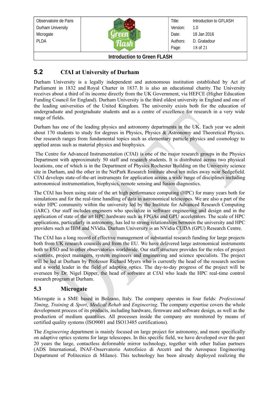| Microgate<br><b>PLDA</b> | Date:<br>Authors:<br>Page: | 18 Jan 2016<br>D. Gratadour<br>18 of 21 |
|--------------------------|----------------------------|-----------------------------------------|
| Observatoire de Paris    | Title:                     | Introduction to GFLASH                  |
| Durham University        | Version:                   | 1.0                                     |

#### <span id="page-17-1"></span>**5.2 CfAI at University of Durham**

Durham University is a legally independent and autonomous institution established by Act of Parliament in 1832 and Royal Charter in 1837. It is also an educational charity. The University receives about a third of its income directly from the UK Government, via HEFCE (Higher Education Funding Council for England). Durham University is the third oldest university in England and one of the leading universities of the United Kingdom. The university exists both for the education of undergraduate and postgraduate students and as a centre of excellence for research in a very wide range of fields.

Durham has one of the leading physics and astronomy departments in the UK. Each year we admit about 170 students to study for degrees in Physics, Physics & Astronomy and Theoretical Physics. Our research ranges from fundamental topics such as elementary particle physics and cosmology to applied areas such as material physics and biophysics.

 The Centre for Advanced Instrumentation (CfAI) is one of the major research groups in the Physics Department with approximately 50 staff and research students. It is distributed across two physical locations, one of which is in the Department of Physics Rochester Building on the University science site in Durham, and the other in the NetPark Research Institute about ten miles away near Sedgefield. CfAI develops state-of-the-art instruments for application across a wide range of disciplines including astronomical instrumentation, biophysics, remote sensing and fusion diagnostics.

The CfAI has been using state of the art high performance computing (HPC) for many years both for simulations and for the real-time handling of data in astronomical telescopes. We are also a part of the wider HPC community within the university led by the Institute for Advanced Research Computing (iARC). Our staff includes engineers who specialize in software engineering and design and in the application of state of the art HPC hardware such as FPGAs and GPU accelerators. The scale of HPC applications, particularly in astronomy, has led to strong relationships between the university and HPC providers such as IBM and NVidia. Durham University is an NVidia CUDA (GPU) Research Centre.

The CfAI has a long record of effective management of substantial research funding for large projects both from UK research councils and from the EU. We have delivered large astronomical instruments both to ESO and to other observatories worldwide. Our staff structure provides for the roles of project scientists, project managers, system engineers and engineering and science specialists. The project will be led at Durham by Professor Richard Myers who is currently the head of the research section and a world leader in the field of adaptive optics. The day-to-day progress of the project will be overseen by Dr. Nigel Dipper, the head of software at CfAI who leads the HPC real-time control research program at Durham.

#### <span id="page-17-0"></span>**5.3 Microgate**

Microgate is a SME based in Bolzano, Italy. The company operates in four fields: *Professional Timing*, *Training & Sport*, *Medical Rehab* and *Engineering*. The company expertise covers the whole development process of its products, including hardware, firmware and software design, as well as the production of medium quantities. All processes inside the company are monitored by means of certified quality systems (ISO9001 and ISO13485 certifications).

The *Engineering* department is mainly focused on large project for astronomy, and more specifically on adaptive optics systems for large telescopes. In this specific field, we have developed over the past 20 years the large, contactless deformable mirror technology, together with other Italian partners (ADS International, INAF-Osservatorio Astrofisico di Arcetri and the Aerospace Engineering Department of Politecnico di Milano). This technology has been already deployed realizing the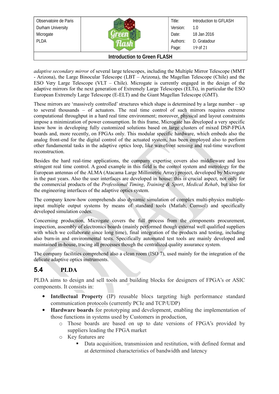| Observatoire de Paris             |  | Title:   | Introduction to GFLASH |
|-----------------------------------|--|----------|------------------------|
| Durham University                 |  | Version: | 1.0                    |
| Microgate                         |  | Date:    | 18 Jan 2016            |
| <b>PLDA</b>                       |  | Authors: | D. Gratadour           |
|                                   |  | Page:    | 19 of 21               |
| Lateral catters to Opening FLAOU. |  |          |                        |

*adaptive secondary mirror* of several large telescopes, including the Multiple Mirror Telescope (MMT - Arizona), the Large Binocular Telescope (LBT – Arizona), the Magellan Telescope (Chile) and the ESO Very Large Telescope (VLT – Chile). Microgate is currently engaged in the design of the adaptive mirrors for the next generation of Extremely Large Telescopes (ELTs), in particular the ESO European Extremely Large Telescope (E-ELT) and the Giant Magellan Telescope (GMT).

These mirrors are 'massively controlled' structures which shape is determined by a large number – up to several thousands – of actuators. The real time control of such mirrors requires extreme computational throughput in a hard real time environment; moreover, physical and layout constraints impose a minimization of power consumption. In this frame, Microgate has developed a very specific know how in developing fully customized solutions based on large clusters of mixed DSP-FPGA boards and, more recently, on FPGAs only. This modular specific hardware, which embeds also the analog front-end for the digital control of the actuated system, has been employed also to perform other fundamental tasks in the adaptive optics loop, like wavefront sensing and real-time wavefront reconstruction.

Besides the hard real-time applications, the company expertise covers also middleware and less stringent real time control. A good example in this field is the control system and metrology for the European antennas of the ALMA (Atacama Large Millimetric Array) project, developed by Microgate in the past years. Also the user interfaces are developed in house: this is crucial aspect, not only for the commercial products of the *Professional Timing*, *Training & Sport*, *Medical Rehab*, but also for the engineering interfaces of the adaptive optics system.

The company know-how comprehends also dynamic simulation of complex multi-physics multipleinput multiple output systems by means of standard tools (Matlab, Comsol) and specifically developed simulation codes.

Concerning production, Microgate covers the full process from the components procurement, inspection, assembly of electronics boards (mainly performed though external well qualified suppliers with which we collaborate since long time), final integration of the products and testing, including also burn-in and environmental tests. Specifically automated test tools are mainly developed and maintained in-house, tracing all processes though the centralized quality assurance system.

The company facilities comprehend also a clean room (ISO 7), used mainly for the integration of the delicate adaptive optics instruments.

#### <span id="page-18-0"></span>**5.4 PLDA**

PLDA aims to design and sell tools and building blocks for designers of FPGA's or ASIC components. It consists in:

- **Intellectual Property** (IP) reusable blocs targeting high performance standard communication protocols (currently PCIe and TCP/UDP)
- **Hardware boards** for prototyping and development, enabling the implementation of those functions in systems used by Customers in production,
	- o Those boards are based on up to date versions of FPGA's provided by suppliers leading the FPGA market
	- o Key features are
		- Data acquisition, transmission and restitution, with defined format and at determined characteristics of bandwidth and latency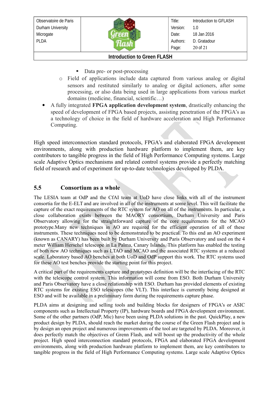

Title: Version: Date: Authors: Page: Introduction to GFLASH 1.0 18 Jan 2016 D. Gratadour 20 of 21

#### **Introduction to Green FLASH**

- Data pre- or post-processing
- o Field of applications include data captured from various analog or digital sensors and restituted similarly to analog or digital actioners, after some processing, or also data being used in large applications from various market domains (medicine, financial, scientific…)
- A fully integrated **FPGA application development system**, drastically enhancing the speed of development of FPGA based projects, assisting penetration of the FPGA's as a technology of choice in the field of hardware acceleration and High Performance Computing.

High speed interconnection standard protocols, FPGA's and elaborated FPGA development environments, along with production hardware platform to implement them, are key contributors to tangible progress in the field of High Performance Computing systems. Large scale Adaptive Optics mechanisms and related control systems provide a perfectly matching field of research and of experiment for up-to-date technologies developed by PLDA.

#### <span id="page-19-0"></span>**5.5 Consortium as a whole**

The LESIA team at OdP and the CfAI team at UoD have close links with all of the instrument consortia for the E-ELT and are involved in all of the instruments at some level. This will facilitate the capture of the exact requirements of the RTC system for AO on all of the instruments. In particular, a close collaboration exists between the MAORY consortium, Durham University and Paris Observatory allowing for the straightforward capture of the core requirements for the MCAO prototype.Many new techniques in AO are required for the efficient operation of all of these instruments. These techniques need to be demonstrated to be practical. To this end an AO experiment (known as CANARY) has been built by Durham University and Paris Observatory and used on the 4 meter William Herschel telescope in La Palma, Canary Islands. This platform has enabled the testing of both new AO techniques such as LTAO and MCAO and the associated RTC systems at a reduced scale. Laboratory based AO benches at both UoD and OdP support this work. The RTC systems used for these AO test benches provide the starting point for this project.

A critical part of the requirements capture and prototypes definition will be the interfacing of the RTC with the telescope control system. This information will come from ESO. Both Durham University and Paris Observatory have a close relationship with ESO. Durham has provided elements of existing RTC systems for existing ESO telescopes (the VLT). This interface is currently being designed at ESO and will be available in a preliminary form during the requirements capture phase.

PLDA aims at designing and selling tools and building blocks for designers of FPGA's or ASIC components such as Intellectual Property (IP), hardware boards and FPGA development environment. Some of the other partners (OdP, Mic) have been using PLDA solutions in the past. QuickPlay, a new product design by PLDA, should reach the market during the course of the Green Flash project and is by design an open project and numerous improvements of the tool are targeted by PLDA. Moreover, it does perfectly match the objectives of Grenn Flash, and will boost up the productivity of the whole project. High speed interconnection standard protocols, FPGA and elaborated FPGA development environments, along with production hardware platform to implement them, are key contributors to tangible progress in the field of High Performance Computing systems. Large scale Adaptive Optics